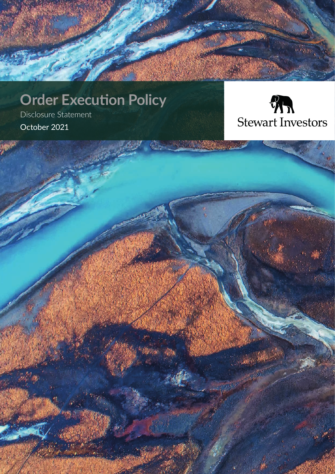# **Order Execution Policy**

Disclosure Statement October 2021



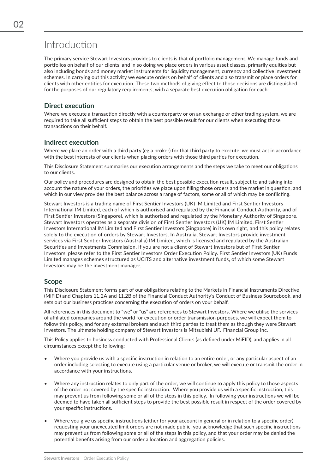## Introduction

The primary service Stewart Investors provides to clients is that of portfolio management. We manage funds and portfolios on behalf of our clients, and in so doing we place orders in various asset classes, primarily equities but also including bonds and money market instruments for liquidity management, currency and collective investment schemes. In carrying out this activity we execute orders on behalf of clients and also transmit or place orders for clients with other entities for execution. These two methods of giving effect to those decisions are distinguished for the purposes of our regulatory requirements, with a separate best execution obligation for each:

### **Direct execution**

Where we execute a transaction directly with a counterparty or on an exchange or other trading system, we are required to take all sufficient steps to obtain the best possible result for our clients when executing those transactions on their behalf.

### **Indirect execution**

Where we place an order with a third party (eg a broker) for that third party to execute, we must act in accordance with the best interests of our clients when placing orders with those third parties for execution.

This Disclosure Statement summaries our execution arrangements and the steps we take to meet our obligations to our clients.

Our policy and procedures are designed to obtain the best possible execution result, subject to and taking into account the nature of your orders, the priorities we place upon filling those orders and the market in question, and which in our view provides the best balance across a range of factors, some or all of which may be conflicting.

Stewart Investors is a trading name of First Sentier Investors (UK) IM Limited and First Sentier Investors International IM Limited, each of which is authorised and regulated by the Financial Conduct Authority, and of First Sentier Investors (Singapore), which is authorised and regulated by the Monetary Authority of Singapore. Stewart Investors operates as a separate division of First Sentier Investors (UK) IM Limited, First Sentier Investors International IM Limited and First Sentier Investors (Singapore) in its own right, and this policy relates solely to the execution of orders by Stewart Investors. In Australia, Stewart Investors provide investment services via First Sentier Investors (Australia) IM Limited, which is licensed and regulated by the Australian Securities and Investments Commission. If you are not a client of Stewart Investors but of First Sentier Investors, please refer to the First Sentier Investors Order Execution Policy. First Sentier Investors (UK) Funds Limited manages schemes structured as UCITS and alternative investment funds, of which some Stewart Investors may be the investment manager.

### **Scope**

This Disclosure Statement forms part of our obligations relating to the Markets in Financial Instruments Directive (MiFID) and Chapters 11.2A and 11.2B of the Financial Conduct Authority's Conduct of Business Sourcebook, and sets out our business practices concerning the execution of orders on your behalf.

All references in this document to "we" or "us" are references to Stewart Investors. Where we utilise the services of affiliated companies around the world for execution or order transmission purposes, we will expect them to follow this policy, and for any external brokers and such third parties to treat them as though they were Stewart Investors. The ultimate holding company of Stewart Investors is Mitsubishi UFJ Financial Group Inc.

This Policy applies to business conducted with Professional Clients (as defined under MiFID), and applies in all circumstances except the following:

- Where you provide us with a specific instruction in relation to an entire order, or any particular aspect of an order including selecting to execute using a particular venue or broker, we will execute or transmit the order in accordance with your instructions.
- Where any instruction relates to only part of the order, we will continue to apply this policy to those aspects of the order not covered by the specific instruction. Where you provide us with a specific instruction, this may prevent us from following some or all of the steps in this policy. In following your instructions we will be deemed to have taken all sufficient steps to provide the best possible result in respect of the order covered by your specific instructions.
- Where you give us specific instructions (either for your account in general or in relation to a specific order) requesting your unexecuted limit orders are not made public, you acknowledge that such specific instructions may prevent us from following some or all of the steps in this policy, and that your order may be denied the potential benefits arising from our order allocation and aggregation policies.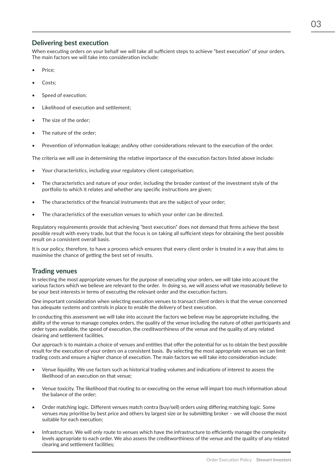### **Delivering best execution**

When executing orders on your behalf we will take all sufficient steps to achieve "best execution" of your orders. The main factors we will take into consideration include:

- Price:
- Costs:
- Speed of execution:
- Likelihood of execution and settlement;
- The size of the order;
- The nature of the order:
- Prevention of information leakage; andAny other considerations relevant to the execution of the order.

The criteria we will use in determining the relative importance of the execution factors listed above include:

- Your characteristics, including your regulatory client categorisation;
- The characteristics and nature of your order, including the broader context of the investment style of the portfolio to which it relates and whether any specific instructions are given;
- The characteristics of the financial instruments that are the subject of your order;
- The characteristics of the execution venues to which your order can be directed.

Regulatory requirements provide that achieving "best execution" does not demand that firms achieve the best possible result with every trade, but that the focus is on taking all sufficient steps for obtaining the best possible result on a consistent overall basis.

It is our policy, therefore, to have a process which ensures that every client order is treated in a way that aims to maximise the chance of getting the best set of results.

### **Trading venues**

In selecting the most appropriate venues for the purpose of executing your orders, we will take into account the various factors which we believe are relevant to the order. In doing so, we will assess what we reasonably believe to be your best interests in terms of executing the relevant order and the execution factors.

One important consideration when selecting execution venues to transact client orders is that the venue concerned has adequate systems and controls in place to enable the delivery of best execution.

In conducting this assessment we will take into account the factors we believe may be appropriate including, the ability of the venue to manage complex orders, the quality of the venue including the nature of other participants and order types available, the speed of execution, the creditworthiness of the venue and the quality of any related clearing and settlement facilities.

Our approach is to maintain a choice of venues and entities that offer the potential for us to obtain the best possible result for the execution of your orders on a consistent basis. By selecting the most appropriate venues we can limit trading costs and ensure a higher chance of execution. The main factors we will take into consideration include:

- Venue liquidity. We use factors such as historical trading volumes and indications of interest to assess the likelihood of an execution on that venue;
- Venue toxicity. The likelihood that routing to or executing on the venue will impart too much information about the balance of the order;
- Order matching logic. Different venues match contra (buy/sell) orders using differing matching logic. Some venues may prioritise by best price and others by largest size or by submitting broker – we will choose the most suitable for each execution;
- Infrastructure. We will only route to venues which have the infrastructure to efficiently manage the complexity levels appropriate to each order. We also assess the creditworthiness of the venue and the quality of any related clearing and settlement facilities;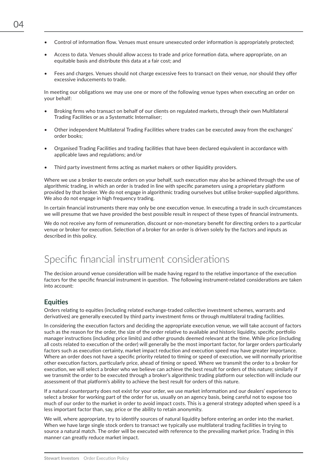- Control of information flow. Venues must ensure unexecuted order information is appropriately protected;
- Access to data. Venues should allow access to trade and price formation data, where appropriate, on an equitable basis and distribute this data at a fair cost; and
- Fees and charges. Venues should not charge excessive fees to transact on their venue, nor should they offer excessive inducements to trade.

In meeting our obligations we may use one or more of the following venue types when executing an order on your behalf:

- Broking firms who transact on behalf of our clients on regulated markets, through their own Multilateral Trading Facilities or as a Systematic Internaliser;
- Other independent Multilateral Trading Facilities where trades can be executed away from the exchanges' order books;
- Organised Trading Facilities and trading facilities that have been declared equivalent in accordance with applicable laws and regulations; and/or
- Third party investment firms acting as market makers or other liquidity providers.

Where we use a broker to execute orders on your behalf, such execution may also be achieved through the use of algorithmic trading, in which an order is traded in line with specific parameters using a proprietary platform provided by that broker. We do not engage in algorithmic trading ourselves but utilise broker-supplied algorithms. We also do not engage in high frequency trading.

In certain financial instruments there may only be one execution venue. In executing a trade in such circumstances we will presume that we have provided the best possible result in respect of these types of financial instruments.

We do not receive any form of remuneration, discount or non-monetary benefit for directing orders to a particular venue or broker for execution. Selection of a broker for an order is driven solely by the factors and inputs as described in this policy.

## Specific financial instrument considerations

The decision around venue consideration will be made having regard to the relative importance of the execution factors for the specific financial instrument in question. The following instrument-related considerations are taken into account:

### **Equities**

Orders relating to equities (including related exchange-traded collective investment schemes, warrants and derivatives) are generally executed by third party investment firms or through multilateral trading facilities.

In considering the execution factors and deciding the appropriate execution venue, we will take account of factors such as the reason for the order, the size of the order relative to available and historic liquidity, specific portfolio manager instructions (including price limits) and other grounds deemed relevant at the time. While price (including all costs related to execution of the order) will generally be the most important factor, for larger orders particularly factors such as execution certainty, market impact reduction and execution speed may have greater importance. Where an order does not have a specific priority related to timing or speed of execution, we will normally prioritise other execution factors, particularly price, ahead of timing or speed. Where we transmit the order to a broker for execution, we will select a broker who we believe can achieve the best result for orders of this nature; similarly if we transmit the order to be executed through a broker's algorithmic trading platform our selection will include our assessment of that platform's ability to achieve the best result for orders of this nature.

If a natural counterparty does not exist for your order, we use market information and our dealers' experience to select a broker for working part of the order for us, usually on an agency basis, being careful not to expose too much of our order to the market in order to avoid impact costs. This is a general strategy adopted when speed is a less important factor than, say, price or the ability to retain anonymity.

We will, where appropriate, try to identify sources of natural liquidity before entering an order into the market. When we have large single stock orders to transact we typically use multilateral trading facilities in trying to source a natural match. The order will be executed with reference to the prevailing market price. Trading in this manner can greatly reduce market impact.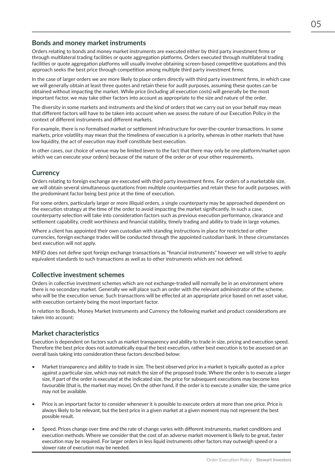### **Bonds and money market instruments**

Orders relating to bonds and money market instruments are executed either by third party investment firms or through multilateral trading facilities or quote aggregation platforms. Orders executed through multilateral trading facilities or quote aggregation platforms will usually involve obtaining screen-based competitive quotations and this approach seeks the best price through competition among multiple third party investment firms.

In the case of larger orders we are more likely to place orders directly with third party investment firms, in which case we will generally obtain at least three quotes and retain these for audit purposes, assuming these quotes can be obtained without impacting the market. While price (including all execution costs) will generally be the most important factor, we may take other factors into account as appropriate to the size and nature of the order.

The diversity in some markets and instruments and the kind of orders that we carry out on your behalf may mean that different factors will have to be taken into account when we assess the nature of our Execution Policy in the context of different instruments and different markets.

For example, there is no formalised market or settlement infrastructure for over-the-counter transactions. In some markets, price volatility may mean that the timeliness of execution is a priority, whereas in other markets that have low liquidity, the act of execution may itself constitute best execution.

In other cases, our choice of venue may be limited (even to the fact that there may only be one platform/market upon which we can execute your orders) because of the nature of the order or of your other requirements.

### **Currency**

Orders relating to foreign exchange are executed with third party investment firms. For orders of a marketable size, we will obtain several simultaneous quotations from multiple counterparties and retain these for audit purposes, with the predominant factor being best price at the time of execution.

For some orders, particularly larger or more illiquid orders, a single counterparty may be approached dependent on the execution strategy at the time of the order to avoid impacting the market significantly. In such a case, counterparty selection will take into consideration factors such as previous execution performance, clearance and settlement capability, credit worthiness and financial stability, timely trading and ability to trade in large volumes.

Where a client has appointed their own custodian with standing instructions in place for restricted or other currencies, foreign exchange trades will be conducted through the appointed custodian bank. In these circumstances best execution will not apply.

MiFID does not define spot foreign exchange transactions as "financial instruments" however we will strive to apply equivalent standards to such transactions as well as to other instruments which are not defined.

### **Collective investment schemes**

Orders in collective investment schemes which are not exchange-traded will normally be in an environment where there is no secondary market. Generally we will place such an order with the relevant administrator of the scheme, who will be the execution venue. Such transactions will be effected at an appropriate price based on net asset value, with execution certainty being the most important factor.

In relation to Bonds, Money Market Instruments and Currency the following market and product considerations are taken into account:

### **Market characteristics**

Execution is dependent on factors such as market transparency and ability to trade in size, pricing and execution speed. Therefore the best price does not automatically equal the best execution, rather best execution is to be assessed on an overall basis taking into consideration these factors described below:

- Market transparency and ability to trade in size. The best observed price in a market is typically quoted as a price against a particular size, which may not match the size of the proposed trade. Where the order is to execute a larger size, if part of the order is executed at the indicated size, the price for subsequent executions may become less favourable (that is, the market may move). On the other hand, if the order is to execute a smaller size, the same price may not be available.
- Price is an important factor to consider whenever it is possible to execute orders at more than one price. Price is always likely to be relevant, but the best price in a given market at a given moment may not represent the best possible result.
- Speed. Prices change over time and the rate of change varies with different instruments, market conditions and execution methods. Where we consider that the cost of an adverse market movement is likely to be great, faster execution may be required. For larger orders in less liquid instruments other factors may outweigh speed or a slower rate of execution may be needed.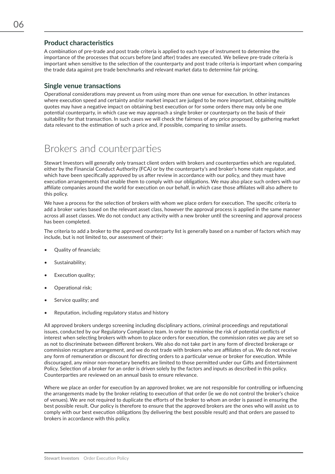### **Product characteristics**

A combination of pre-trade and post trade criteria is applied to each type of instrument to determine the importance of the processes that occurs before (and after) trades are executed. We believe pre-trade criteria is important when sensitive to the selection of the counterparty and post trade criteria is important when comparing the trade data against pre trade benchmarks and relevant market data to determine fair pricing.

### **Single venue transactions**

Operational considerations may prevent us from using more than one venue for execution. In other instances where execution speed and certainty and/or market impact are judged to be more important, obtaining multiple quotes may have a negative impact on obtaining best execution or for some orders there may only be one potential counterparty, in which case we may approach a single broker or counterparty on the basis of their suitability for that transaction. In such cases we will check the fairness of any price proposed by gathering market data relevant to the estimation of such a price and, if possible, comparing to similar assets.

### Brokers and counterparties

Stewart Investors will generally only transact client orders with brokers and counterparties which are regulated, either by the Financial Conduct Authority (FCA) or by the counterparty's and broker's home state regulator, and which have been specifically approved by us after review in accordance with our policy, and they must have execution arrangements that enable them to comply with our obligations. We may also place such orders with our affiliate companies around the world for execution on our behalf, in which case those affiliates will also adhere to this policy.

We have a process for the selection of brokers with whom we place orders for execution. The specific criteria to add a broker varies based on the relevant asset class, however the approval process is applied in the same manner across all asset classes. We do not conduct any activity with a new broker until the screening and approval process has been completed.

The criteria to add a broker to the approved counterparty list is generally based on a number of factors which may include, but is not limited to, our assessment of their:

- Quality of financials;
- Sustainability:
- Execution quality:
- Operational risk;
- Service quality; and
- Reputation, including regulatory status and history

All approved brokers undergo screening including disciplinary actions, criminal proceedings and reputational issues, conducted by our Regulatory Compliance team. In order to minimise the risk of potential conflicts of interest when selecting brokers with whom to place orders for execution, the commission rates we pay are set so as not to discriminate between different brokers. We also do not take part in any form of directed brokerage or commission recapture arrangement, and we do not trade with brokers who are affiliates of us. We do not receive any form of remuneration or discount for directing orders to a particular venue or broker for execution. While discouraged, any minor non-monetary benefits are limited to those permitted under our Gifts and Entertainment Policy. Selection of a broker for an order is driven solely by the factors and inputs as described in this policy. Counterparties are reviewed on an annual basis to ensure relevance.

Where we place an order for execution by an approved broker, we are not responsible for controlling or influencing the arrangements made by the broker relating to execution of that order (ie we do not control the broker's choice of venues). We are not required to duplicate the efforts of the broker to whom an order is passed in ensuring the best possible result. Our policy is therefore to ensure that the approved brokers are the ones who will assist us to comply with our best execution obligations (by delivering the best possible result) and that orders are passed to brokers in accordance with this policy.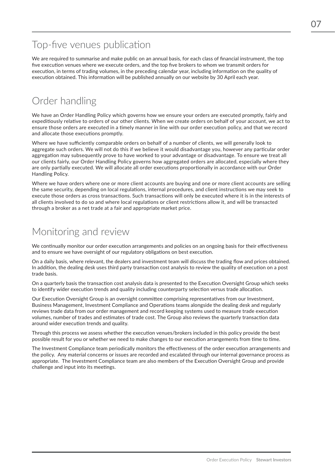# Top-five venues publication

We are required to summarise and make public on an annual basis, for each class of financial instrument, the top five execution venues where we execute orders, and the top five brokers to whom we transmit orders for execution, in terms of trading volumes, in the preceding calendar year, including information on the quality of execution obtained. This information will be published annually on our website by 30 April each year.

# Order handling

We have an Order Handling Policy which governs how we ensure your orders are executed promptly, fairly and expeditiously relative to orders of our other clients. When we create orders on behalf of your account, we act to ensure those orders are executed in a timely manner in line with our order execution policy, and that we record and allocate those executions promptly.

Where we have sufficiently comparable orders on behalf of a number of clients, we will generally look to aggregate such orders. We will not do this if we believe it would disadvantage you, however any particular order aggregation may subsequently prove to have worked to your advantage or disadvantage. To ensure we treat all our clients fairly, our Order Handling Policy governs how aggregated orders are allocated, especially where they are only partially executed. We will allocate all order executions proportionally in accordance with our Order Handling Policy.

Where we have orders where one or more client accounts are buying and one or more client accounts are selling the same security, depending on local regulations, internal procedures, and client instructions we may seek to execute those orders as cross transactions. Such transactions will only be executed where it is in the interests of all clients involved to do so and where local regulations or client restrictions allow it, and will be transacted through a broker as a net trade at a fair and appropriate market price.

## Monitoring and review

We continually monitor our order execution arrangements and policies on an ongoing basis for their effectiveness and to ensure we have oversight of our regulatory obligations on best execution.

On a daily basis, where relevant, the dealers and investment team will discuss the trading flow and prices obtained. In addition, the dealing desk uses third party transaction cost analysis to review the quality of execution on a post trade basis.

On a quarterly basis the transaction cost analysis data is presented to the Execution Oversight Group which seeks to identify wider execution trends and quality including counterparty selection versus trade allocation.

Our Execution Oversight Group is an oversight committee comprising representatives from our Investment, Business Management, Investment Compliance and Operations teams alongside the dealing desk and regularly reviews trade data from our order management and record keeping systems used to measure trade execution volumes, number of trades and estimates of trade cost. The Group also reviews the quarterly transaction data around wider execution trends and quality.

Through this process we assess whether the execution venues/brokers included in this policy provide the best possible result for you or whether we need to make changes to our execution arrangements from time to time.

The Investment Compliance team periodically monitors the effectiveness of the order execution arrangements and the policy. Any material concerns or issues are recorded and escalated through our internal governance process as appropriate. The Investment Compliance team are also members of the Execution Oversight Group and provide challenge and input into its meetings.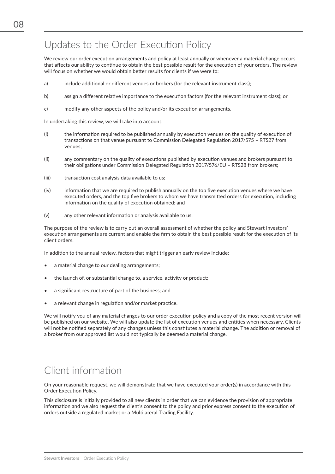# Updates to the Order Execution Policy

We review our order execution arrangements and policy at least annually or whenever a material change occurs that affects our ability to continue to obtain the best possible result for the execution of your orders. The review will focus on whether we would obtain better results for clients if we were to:

- a) include additional or different venues or brokers (for the relevant instrument class);
- b) assign a different relative importance to the execution factors (for the relevant instrument class); or
- c) modify any other aspects of the policy and/or its execution arrangements.

In undertaking this review, we will take into account:

- (i) the information required to be published annually by execution venues on the quality of execution of transactions on that venue pursuant to Commission Delegated Regulation 2017/575 – RTS27 from venues;
- (ii) any commentary on the quality of executions published by execution venues and brokers pursuant to their obligations under Commission Delegated Regulation 2017/576/EU – RTS28 from brokers;
- (iii) transaction cost analysis data available to us;
- (iv) information that we are required to publish annually on the top five execution venues where we have executed orders, and the top five brokers to whom we have transmitted orders for execution, including information on the quality of execution obtained; and
- (v) any other relevant information or analysis available to us.

The purpose of the review is to carry out an overall assessment of whether the policy and Stewart Investors' execution arrangements are current and enable the firm to obtain the best possible result for the execution of its client orders.

In addition to the annual review, factors that might trigger an early review include:

- a material change to our dealing arrangements;
- the launch of, or substantial change to, a service, activity or product;
- a significant restructure of part of the business; and
- a relevant change in regulation and/or market practice.

We will notify you of any material changes to our order execution policy and a copy of the most recent version will be published on our website. We will also update the list of execution venues and entities when necessary. Clients will not be notified separately of any changes unless this constitutes a material change. The addition or removal of a broker from our approved list would not typically be deemed a material change.

# Client information

On your reasonable request, we will demonstrate that we have executed your order(s) in accordance with this Order Execution Policy.

This disclosure is initially provided to all new clients in order that we can evidence the provision of appropriate information and we also request the client's consent to the policy and prior express consent to the execution of orders outside a regulated market or a Multilateral Trading Facility.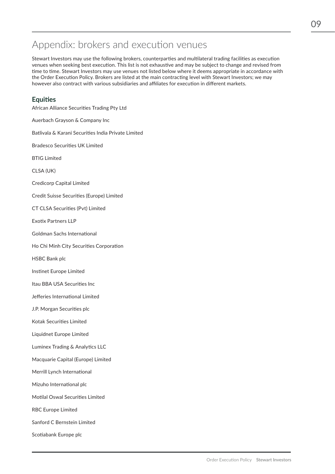## Appendix: brokers and execution venues

Stewart Investors may use the following brokers, counterparties and multilateral trading facilities as execution venues when seeking best execution. This list is not exhaustive and may be subject to change and revised from time to time. Stewart Investors may use venues not listed below where it deems appropriate in accordance with the Order Execution Policy. Brokers are listed at the main contracting level with Stewart Investors; we may however also contract with various subsidiaries and affiliates for execution in different markets.

### **Equities**

African Alliance Securities Trading Pty Ltd Auerbach Grayson & Company Inc Batlivala & Karani Securities India Private Limited Bradesco Securities UK Limited BTIG Limited CLSA (UK) Credicorp Capital Limited Credit Suisse Securities (Europe) Limited CT CLSA Securities (Pvt) Limited Exotix Partners LLP Goldman Sachs International Ho Chi Minh City Securities Corporation HSBC Bank plc Instinet Europe Limited Itau BBA USA Securities Inc Jefferies International Limited J.P. Morgan Securities plc Kotak Securities Limited Liquidnet Europe Limited Luminex Trading & Analytics LLC Macquarie Capital (Europe) Limited Merrill Lynch International Mizuho International plc Motilal Oswal Securities Limited RBC Europe Limited Sanford C Bernstein Limited Scotiabank Europe plc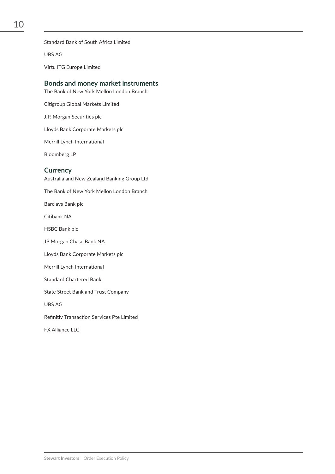Standard Bank of South Africa Limited

UBS AG

Virtu ITG Europe Limited

### **Bonds and money market instruments**

The Bank of New York Mellon London Branch

Citigroup Global Markets Limited

J.P. Morgan Securities plc

Lloyds Bank Corporate Markets plc

Merrill Lynch International

Bloomberg LP

#### **Currency**

Australia and New Zealand Banking Group Ltd The Bank of New York Mellon London Branch Barclays Bank plc Citibank NA HSBC Bank plc JP Morgan Chase Bank NA Lloyds Bank Corporate Markets plc Merrill Lynch International Standard Chartered Bank State Street Bank and Trust Company UBS AG Refinitiv Transaction Services Pte Limited FX Alliance LLC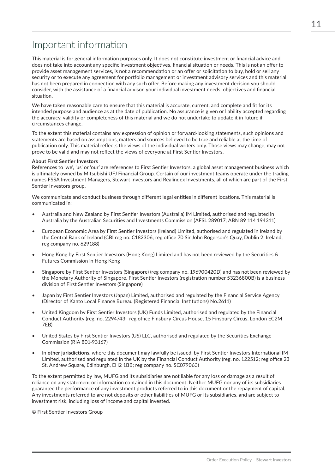# Important information

This material is for general information purposes only. It does not constitute investment or financial advice and does not take into account any specific investment objectives, financial situation or needs. This is not an offer to provide asset management services, is not a recommendation or an offer or solicitation to buy, hold or sell any security or to execute any agreement for portfolio management or investment advisory services and this material has not been prepared in connection with any such offer. Before making any investment decision you should consider, with the assistance of a financial advisor, your individual investment needs, objectives and financial situation.

We have taken reasonable care to ensure that this material is accurate, current, and complete and fit for its intended purpose and audience as at the date of publication. No assurance is given or liability accepted regarding the accuracy, validity or completeness of this material and we do not undertake to update it in future if circumstances change.

To the extent this material contains any expression of opinion or forward-looking statements, such opinions and statements are based on assumptions, matters and sources believed to be true and reliable at the time of publication only. This material reflects the views of the individual writers only. Those views may change, may not prove to be valid and may not reflect the views of everyone at First Sentier Investors.

#### **About First Sentier Investors**

References to 'we', 'us' or 'our' are references to First Sentier Investors, a global asset management business which is ultimately owned by Mitsubishi UFJ Financial Group. Certain of our investment teams operate under the trading names FSSA Investment Managers, Stewart Investors and Realindex Investments, all of which are part of the First Sentier Investors group.

We communicate and conduct business through different legal entities in different locations. This material is communicated in:

- Australia and New Zealand by First Sentier Investors (Australia) IM Limited, authorised and regulated in Australia by the Australian Securities and Investments Commission (AFSL 289017; ABN 89 114 194311)
- European Economic Area by First Sentier Investors (Ireland) Limited, authorised and regulated in Ireland by the Central Bank of Ireland (CBI reg no. C182306; reg office 70 Sir John Rogerson's Quay, Dublin 2, Ireland; reg company no. 629188)
- Hong Kong by First Sentier Investors (Hong Kong) Limited and has not been reviewed by the Securities & Futures Commission in Hong Kong
- Singapore by First Sentier Investors (Singapore) (reg company no. 196900420D) and has not been reviewed by the Monetary Authority of Singapore. First Sentier Investors (registration number 53236800B) is a business division of First Sentier Investors (Singapore)
- Japan by First Sentier Investors (Japan) Limited, authorised and regulated by the Financial Service Agency (Director of Kanto Local Finance Bureau (Registered Financial Institutions) No.2611)
- United Kingdom by First Sentier Investors (UK) Funds Limited, authorised and regulated by the Financial Conduct Authority (reg. no. 2294743; reg office Finsbury Circus House, 15 Finsbury Circus, London EC2M 7EB)
- United States by First Sentier Investors (US) LLC, authorised and regulated by the Securities Exchange Commission (RIA 801-93167)
- In **other jurisdictions**, where this document may lawfully be issued, by First Sentier Investors International IM Limited, authorised and regulated in the UK by the Financial Conduct Authority (reg. no. 122512; reg office 23 St. Andrew Square, Edinburgh, EH2 1BB; reg company no. SC079063)

To the extent permitted by law, MUFG and its subsidiaries are not liable for any loss or damage as a result of reliance on any statement or information contained in this document. Neither MUFG nor any of its subsidiaries guarantee the performance of any investment products referred to in this document or the repayment of capital. Any investments referred to are not deposits or other liabilities of MUFG or its subsidiaries, and are subject to investment risk, including loss of income and capital invested.

© First Sentier Investors Group